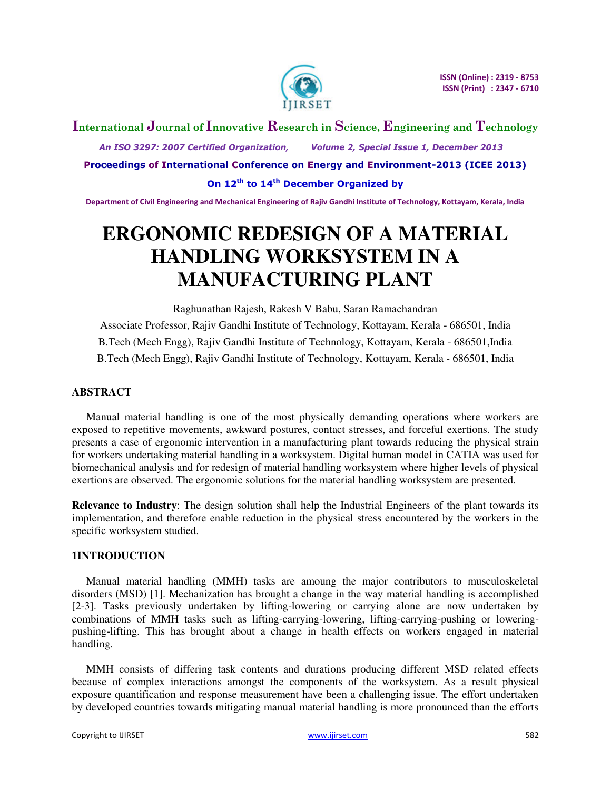

# **International Journal of Innovative Research in Science, Engineering and Technology**

 *An ISO 3297: 2007 Certified Organization, Volume 2, Special Issue 1, December 2013* 

**Proceedings of International Conference on Energy and Environment-2013 (ICEE 2013)** 

**On 12th to 14th December Organized by** 

**Department of Civil Engineering and Mechanical Engineering of Rajiv Gandhi Institute of Technology, Kottayam, Kerala, India** 

# **ERGONOMIC REDESIGN OF A MATERIAL HANDLING WORKSYSTEM IN A MANUFACTURING PLANT**

Raghunathan Rajesh, Rakesh V Babu, Saran Ramachandran Associate Professor, Rajiv Gandhi Institute of Technology, Kottayam, Kerala - 686501, India B.Tech (Mech Engg), Rajiv Gandhi Institute of Technology, Kottayam, Kerala - 686501,India B.Tech (Mech Engg), Rajiv Gandhi Institute of Technology, Kottayam, Kerala - 686501, India

### **ABSTRACT**

Manual material handling is one of the most physically demanding operations where workers are exposed to repetitive movements, awkward postures, contact stresses, and forceful exertions. The study presents a case of ergonomic intervention in a manufacturing plant towards reducing the physical strain for workers undertaking material handling in a worksystem. Digital human model in CATIA was used for biomechanical analysis and for redesign of material handling worksystem where higher levels of physical exertions are observed. The ergonomic solutions for the material handling worksystem are presented.

**Relevance to Industry**: The design solution shall help the Industrial Engineers of the plant towards its implementation, and therefore enable reduction in the physical stress encountered by the workers in the specific worksystem studied.

#### **1INTRODUCTION**

Manual material handling (MMH) tasks are amoung the major contributors to musculoskeletal disorders (MSD) [1]. Mechanization has brought a change in the way material handling is accomplished [2-3]. Tasks previously undertaken by lifting-lowering or carrying alone are now undertaken by combinations of MMH tasks such as lifting-carrying-lowering, lifting-carrying-pushing or loweringpushing-lifting. This has brought about a change in health effects on workers engaged in material handling.

MMH consists of differing task contents and durations producing different MSD related effects because of complex interactions amongst the components of the worksystem. As a result physical exposure quantification and response measurement have been a challenging issue. The effort undertaken by developed countries towards mitigating manual material handling is more pronounced than the efforts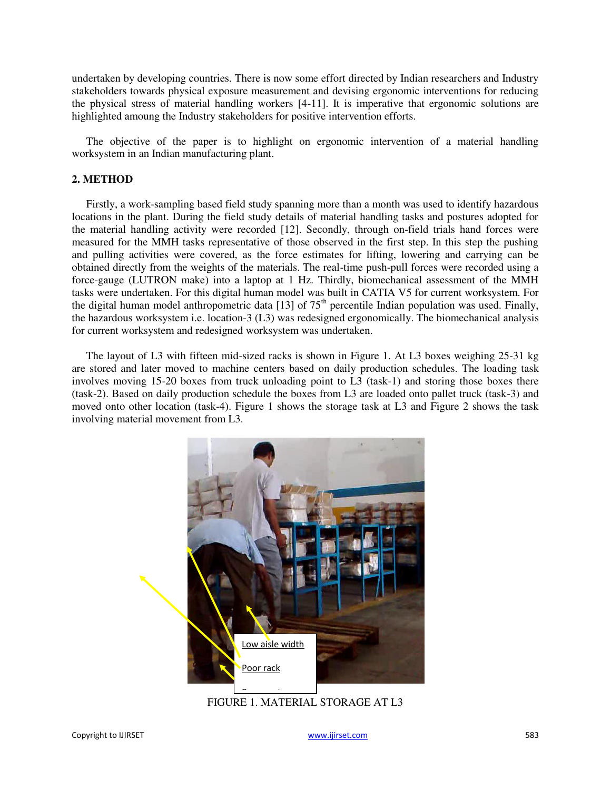undertaken by developing countries. There is now some effort directed by Indian researchers and Industry stakeholders towards physical exposure measurement and devising ergonomic interventions for reducing the physical stress of material handling workers [4-11]. It is imperative that ergonomic solutions are highlighted amoung the Industry stakeholders for positive intervention efforts.

The objective of the paper is to highlight on ergonomic intervention of a material handling worksystem in an Indian manufacturing plant.

#### **2. METHOD**

Firstly, a work-sampling based field study spanning more than a month was used to identify hazardous locations in the plant. During the field study details of material handling tasks and postures adopted for the material handling activity were recorded [12]. Secondly, through on-field trials hand forces were measured for the MMH tasks representative of those observed in the first step. In this step the pushing and pulling activities were covered, as the force estimates for lifting, lowering and carrying can be obtained directly from the weights of the materials. The real-time push-pull forces were recorded using a force-gauge (LUTRON make) into a laptop at 1 Hz. Thirdly, biomechanical assessment of the MMH tasks were undertaken. For this digital human model was built in CATIA V5 for current worksystem. For the digital human model anthropometric data [13] of  $75<sup>th</sup>$  percentile Indian population was used. Finally, the hazardous worksystem i.e. location-3 (L3) was redesigned ergonomically. The biomechanical analysis for current worksystem and redesigned worksystem was undertaken.

The layout of L3 with fifteen mid-sized racks is shown in Figure 1. At L3 boxes weighing 25-31 kg are stored and later moved to machine centers based on daily production schedules. The loading task involves moving 15-20 boxes from truck unloading point to L3 (task-1) and storing those boxes there (task-2). Based on daily production schedule the boxes from L3 are loaded onto pallet truck (task-3) and moved onto other location (task-4). Figure 1 shows the storage task at L3 and Figure 2 shows the task involving material movement from L3.



FIGURE 1. MATERIAL STORAGE AT L3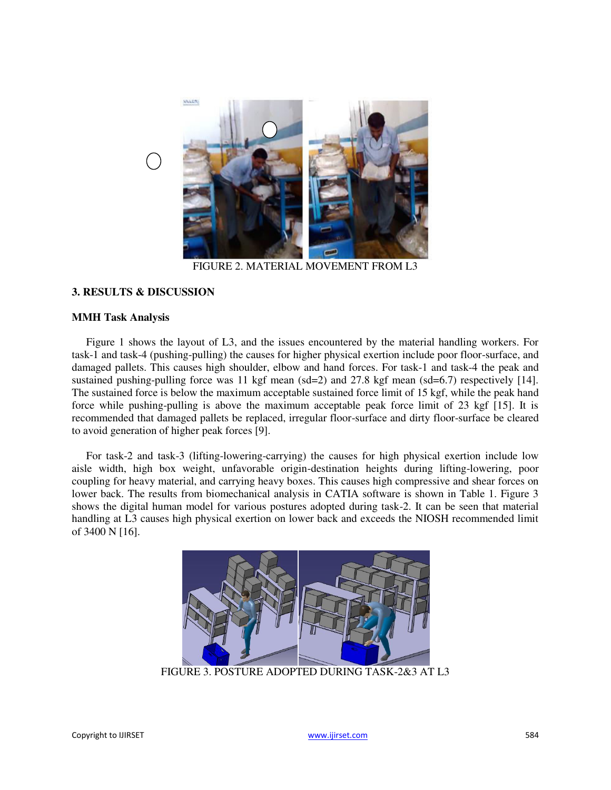

FIGURE 2. MATERIAL MOVEMENT FROM L3

## **3. RESULTS & DISCUSSION**

#### **MMH Task Analysis**

Figure 1 shows the layout of L3, and the issues encountered by the material handling workers. For task-1 and task-4 (pushing-pulling) the causes for higher physical exertion include poor floor-surface, and damaged pallets. This causes high shoulder, elbow and hand forces. For task-1 and task-4 the peak and sustained pushing-pulling force was 11 kgf mean (sd=2) and 27.8 kgf mean (sd=6.7) respectively [14]. The sustained force is below the maximum acceptable sustained force limit of 15 kgf, while the peak hand force while pushing-pulling is above the maximum acceptable peak force limit of 23 kgf [15]. It is recommended that damaged pallets be replaced, irregular floor-surface and dirty floor-surface be cleared to avoid generation of higher peak forces [9].

For task-2 and task-3 (lifting-lowering-carrying) the causes for high physical exertion include low aisle width, high box weight, unfavorable origin-destination heights during lifting-lowering, poor coupling for heavy material, and carrying heavy boxes. This causes high compressive and shear forces on lower back. The results from biomechanical analysis in CATIA software is shown in Table 1. Figure 3 shows the digital human model for various postures adopted during task-2. It can be seen that material handling at L3 causes high physical exertion on lower back and exceeds the NIOSH recommended limit of 3400 N [16].



FIGURE 3. POSTURE ADOPTED DURING TASK-2&3 AT L3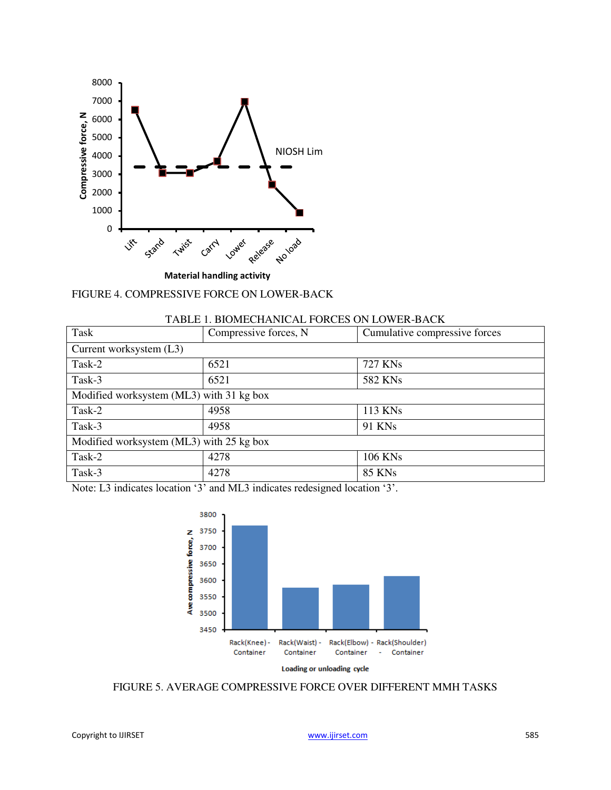

|  |  | FIGURE 4. COMPRESSIVE FORCE ON LOWER-BACK |  |  |
|--|--|-------------------------------------------|--|--|
|--|--|-------------------------------------------|--|--|

| Task                                     | Compressive forces, N | Cumulative compressive forces |  |  |
|------------------------------------------|-----------------------|-------------------------------|--|--|
| Current worksystem (L3)                  |                       |                               |  |  |
| Task-2                                   | 6521                  | 727 KNs                       |  |  |
| Task-3                                   | 6521                  | 582 KNs                       |  |  |
| Modified worksystem (ML3) with 31 kg box |                       |                               |  |  |
| Task-2                                   | 4958                  | 113 KNs                       |  |  |
| Task-3                                   | 4958                  | 91 KNs                        |  |  |
| Modified worksystem (ML3) with 25 kg box |                       |                               |  |  |
| Task-2                                   | 4278                  | <b>106 KNs</b>                |  |  |
| Task-3                                   | 4278                  | <b>85 KNs</b>                 |  |  |

Note: L3 indicates location '3' and ML3 indicates redesigned location '3'.



FIGURE 5. AVERAGE COMPRESSIVE FORCE OVER DIFFERENT MMH TASKS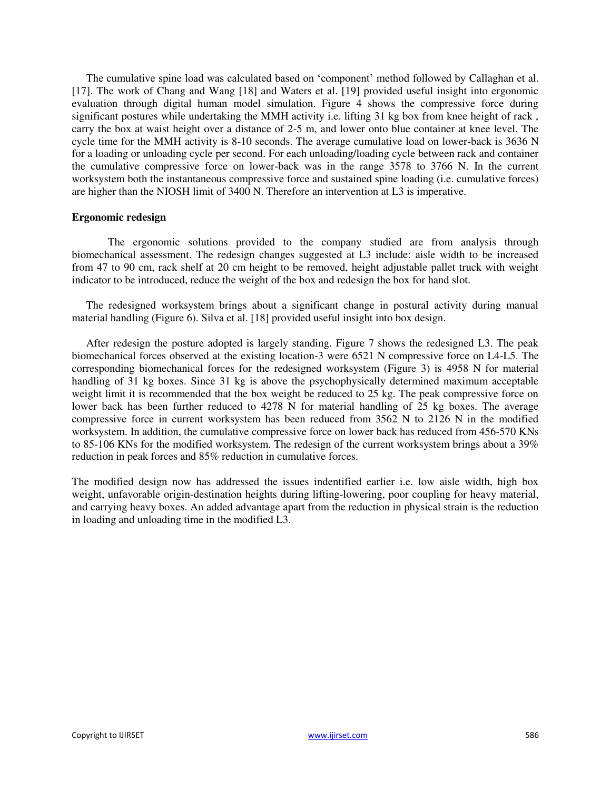The cumulative spine load was calculated based on 'component' method followed by Callaghan et al. [17]. The work of Chang and Wang [18] and Waters et al. [19] provided useful insight into ergonomic evaluation through digital human model simulation. Figure 4 shows the compressive force during significant postures while undertaking the MMH activity i.e. lifting 31 kg box from knee height of rack, carry the box at waist height over a distance of 2-5 m, and lower onto blue container at knee level. The cycle time for the MMH activity is 8-10 seconds. The average cumulative load on lower-back is 3636 N for a loading or unloading cycle per second. For each unloading/loading cycle between rack and container the cumulative compressive force on lower-back was in the range 3578 to 3766 N. In the current worksystem both the instantaneous compressive force and sustained spine loading (i.e. cumulative forces) are higher than the NIOSH limit of 3400 N. Therefore an intervention at L3 is imperative.

#### **Ergonomic redesign**

 The ergonomic solutions provided to the company studied are from analysis through biomechanical assessment. The redesign changes suggested at L3 include: aisle width to be increased from 47 to 90 cm, rack shelf at 20 cm height to be removed, height adjustable pallet truck with weight indicator to be introduced, reduce the weight of the box and redesign the box for hand slot.

The redesigned worksystem brings about a significant change in postural activity during manual material handling (Figure 6). Silva et al. [18] provided useful insight into box design.

After redesign the posture adopted is largely standing. Figure 7 shows the redesigned L3. The peak biomechanical forces observed at the existing location-3 were 6521 N compressive force on L4-L5. The corresponding biomechanical forces for the redesigned worksystem (Figure 3) is 4958 N for material handling of 31 kg boxes. Since 31 kg is above the psychophysically determined maximum acceptable weight limit it is recommended that the box weight be reduced to 25 kg. The peak compressive force on lower back has been further reduced to 4278 N for material handling of 25 kg boxes. The average compressive force in current worksystem has been reduced from 3562 N to 2126 N in the modified worksystem. In addition, the cumulative compressive force on lower back has reduced from 456-570 KNs to 85-106 KNs for the modified worksystem. The redesign of the current worksystem brings about a 39% reduction in peak forces and 85% reduction in cumulative forces.

The modified design now has addressed the issues indentified earlier i.e. low aisle width, high box weight, unfavorable origin-destination heights during lifting-lowering, poor coupling for heavy material, and carrying heavy boxes. An added advantage apart from the reduction in physical strain is the reduction in loading and unloading time in the modified L3.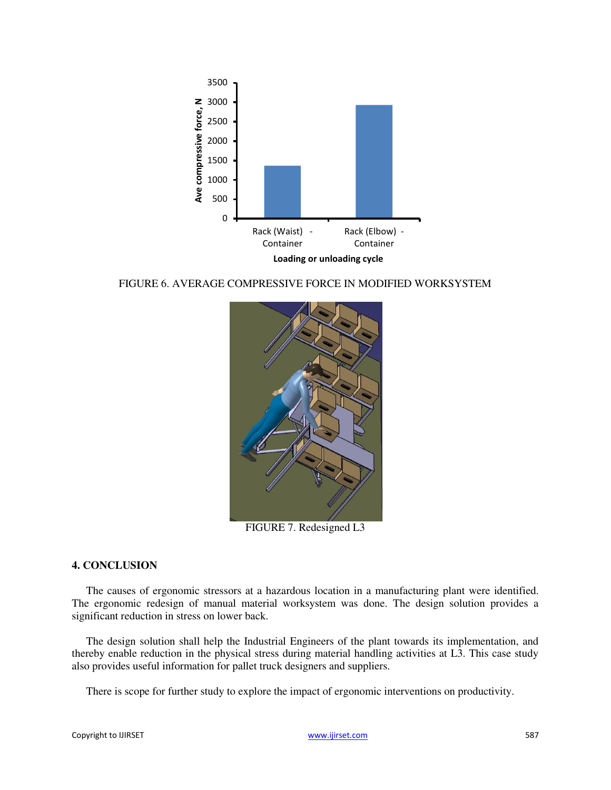

FIGURE 6. AVERAGE COMPRESSIVE FORCE IN MODIFIED WORKSYSTEM



FIGURE 7. Redesigned L3

### **4. CONCLUSION**

The causes of ergonomic stressors at a hazardous location in a manufacturing plant were identified. The ergonomic redesign of manual material worksystem was done. The design solution provides a significant reduction in stress on lower back.

The design solution shall help the Industrial Engineers of the plant towards its implementation, and thereby enable reduction in the physical stress during material handling activities at L3. This case study also provides useful information for pallet truck designers and suppliers.

There is scope for further study to explore the impact of ergonomic interventions on productivity.